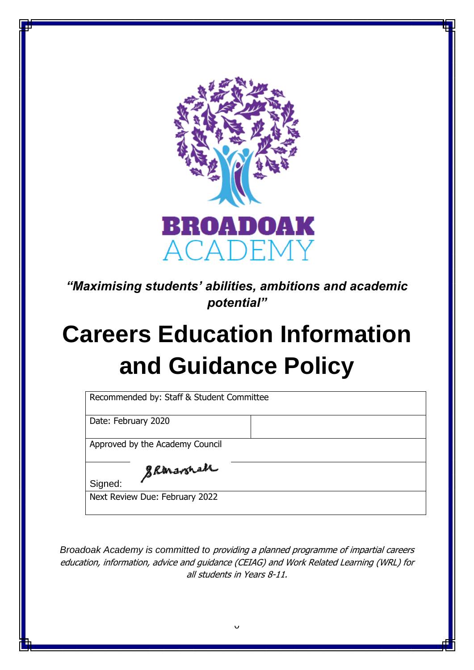

*"Maximising students' abilities, ambitions and academic potential"*

# **Careers Education Information and Guidance Policy**

| Date: February 2020             |  |  |
|---------------------------------|--|--|
|                                 |  |  |
| Approved by the Academy Council |  |  |
|                                 |  |  |
| Skanavonah<br>Signed:           |  |  |

*Broadoak Academy is committed to* providing a planned programme of impartial careers education, information, advice and guidance (CEIAG) and Work Related Learning (WRL) for all students in Years 8-11.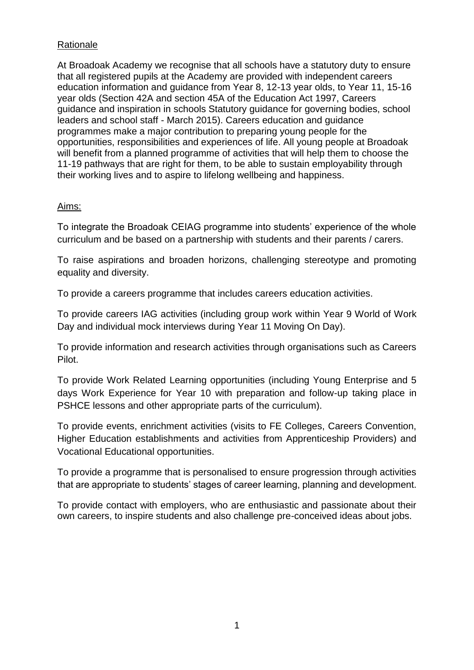## **Rationale**

At Broadoak Academy we recognise that all schools have a statutory duty to ensure that all registered pupils at the Academy are provided with independent careers education information and guidance from Year 8, 12-13 year olds, to Year 11, 15-16 year olds (Section 42A and section 45A of the Education Act 1997, Careers guidance and inspiration in schools Statutory guidance for governing bodies, school leaders and school staff - March 2015). Careers education and guidance programmes make a major contribution to preparing young people for the opportunities, responsibilities and experiences of life. All young people at Broadoak will benefit from a planned programme of activities that will help them to choose the 11-19 pathways that are right for them, to be able to sustain employability through their working lives and to aspire to lifelong wellbeing and happiness.

## Aims:

To integrate the Broadoak CEIAG programme into students' experience of the whole curriculum and be based on a partnership with students and their parents / carers.

To raise aspirations and broaden horizons, challenging stereotype and promoting equality and diversity.

To provide a careers programme that includes careers education activities.

To provide careers IAG activities (including group work within Year 9 World of Work Day and individual mock interviews during Year 11 Moving On Day).

To provide information and research activities through organisations such as Careers Pilot.

To provide Work Related Learning opportunities (including Young Enterprise and 5 days Work Experience for Year 10 with preparation and follow-up taking place in PSHCE lessons and other appropriate parts of the curriculum).

To provide events, enrichment activities (visits to FE Colleges, Careers Convention, Higher Education establishments and activities from Apprenticeship Providers) and Vocational Educational opportunities.

To provide a programme that is personalised to ensure progression through activities that are appropriate to students' stages of career learning, planning and development.

To provide contact with employers, who are enthusiastic and passionate about their own careers, to inspire students and also challenge pre-conceived ideas about jobs.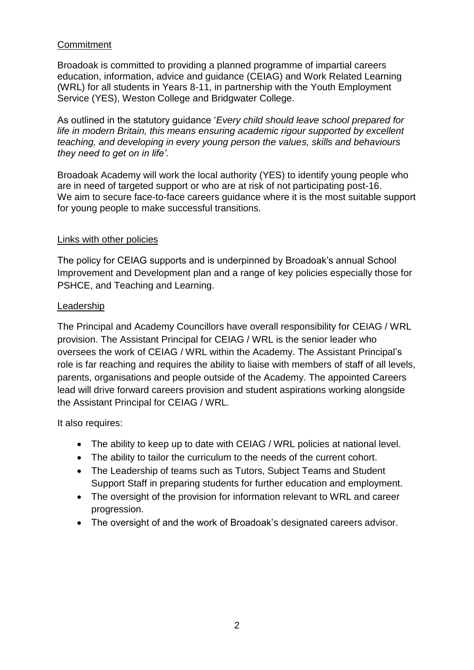## **Commitment**

Broadoak is committed to providing a planned programme of impartial careers education, information, advice and guidance (CEIAG) and Work Related Learning (WRL) for all students in Years 8-11, in partnership with the Youth Employment Service (YES), Weston College and Bridgwater College.

As outlined in the statutory guidance '*Every child should leave school prepared for life in modern Britain, this means ensuring academic rigour supported by excellent teaching, and developing in every young person the values, skills and behaviours they need to get on in life'.* 

Broadoak Academy will work the local authority (YES) to identify young people who are in need of targeted support or who are at risk of not participating post-16. We aim to secure face-to-face careers guidance where it is the most suitable support for young people to make successful transitions.

## Links with other policies

The policy for CEIAG supports and is underpinned by Broadoak's annual School Improvement and Development plan and a range of key policies especially those for PSHCE, and Teaching and Learning.

### **Leadership**

The Principal and Academy Councillors have overall responsibility for CEIAG / WRL provision. The Assistant Principal for CEIAG / WRL is the senior leader who oversees the work of CEIAG / WRL within the Academy. The Assistant Principal's role is far reaching and requires the ability to liaise with members of staff of all levels, parents, organisations and people outside of the Academy. The appointed Careers lead will drive forward careers provision and student aspirations working alongside the Assistant Principal for CEIAG / WRL.

It also requires:

- The ability to keep up to date with CEIAG / WRL policies at national level.
- The ability to tailor the curriculum to the needs of the current cohort.
- The Leadership of teams such as Tutors, Subject Teams and Student Support Staff in preparing students for further education and employment.
- The oversight of the provision for information relevant to WRL and career progression.
- The oversight of and the work of Broadoak's designated careers advisor.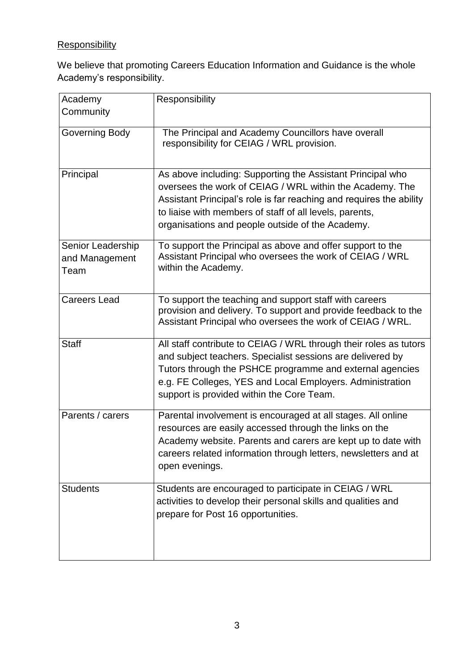# **Responsibility**

We believe that promoting Careers Education Information and Guidance is the whole Academy's responsibility.

| Academy<br>Community                        | Responsibility                                                                                                                                                                                                                                                                                               |
|---------------------------------------------|--------------------------------------------------------------------------------------------------------------------------------------------------------------------------------------------------------------------------------------------------------------------------------------------------------------|
| Governing Body                              | The Principal and Academy Councillors have overall<br>responsibility for CEIAG / WRL provision.                                                                                                                                                                                                              |
| Principal                                   | As above including: Supporting the Assistant Principal who<br>oversees the work of CEIAG / WRL within the Academy. The<br>Assistant Principal's role is far reaching and requires the ability<br>to liaise with members of staff of all levels, parents,<br>organisations and people outside of the Academy. |
| Senior Leadership<br>and Management<br>Team | To support the Principal as above and offer support to the<br>Assistant Principal who oversees the work of CEIAG / WRL<br>within the Academy.                                                                                                                                                                |
| <b>Careers Lead</b>                         | To support the teaching and support staff with careers<br>provision and delivery. To support and provide feedback to the<br>Assistant Principal who oversees the work of CEIAG / WRL.                                                                                                                        |
| <b>Staff</b>                                | All staff contribute to CEIAG / WRL through their roles as tutors<br>and subject teachers. Specialist sessions are delivered by<br>Tutors through the PSHCE programme and external agencies<br>e.g. FE Colleges, YES and Local Employers. Administration<br>support is provided within the Core Team.        |
| Parents / carers                            | Parental involvement is encouraged at all stages. All online<br>resources are easily accessed through the links on the<br>Academy website. Parents and carers are kept up to date with<br>careers related information through letters, newsletters and at<br>open evenings.                                  |
| <b>Students</b>                             | Students are encouraged to participate in CEIAG / WRL<br>activities to develop their personal skills and qualities and<br>prepare for Post 16 opportunities.                                                                                                                                                 |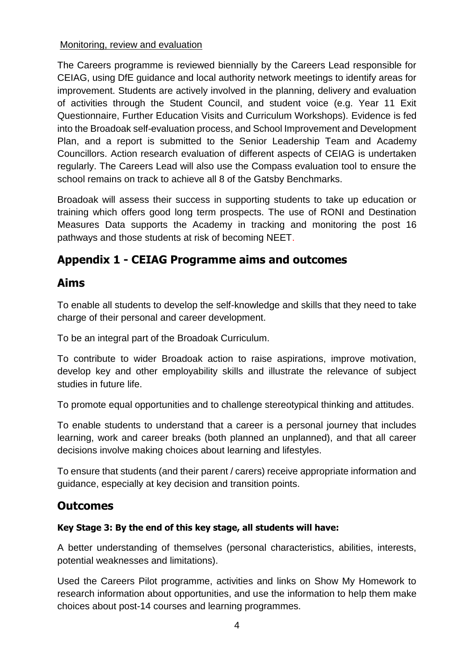## Monitoring, review and evaluation

The Careers programme is reviewed biennially by the Careers Lead responsible for CEIAG, using DfE guidance and local authority network meetings to identify areas for improvement. Students are actively involved in the planning, delivery and evaluation of activities through the Student Council, and student voice (e.g. Year 11 Exit Questionnaire, Further Education Visits and Curriculum Workshops). Evidence is fed into the Broadoak self-evaluation process, and School Improvement and Development Plan, and a report is submitted to the Senior Leadership Team and Academy Councillors. Action research evaluation of different aspects of CEIAG is undertaken regularly. The Careers Lead will also use the Compass evaluation tool to ensure the school remains on track to achieve all 8 of the Gatsby Benchmarks.

Broadoak will assess their success in supporting students to take up education or training which offers good long term prospects. The use of RONI and Destination Measures Data supports the Academy in tracking and monitoring the post 16 pathways and those students at risk of becoming NEET.

# **Appendix 1 - CEIAG Programme aims and outcomes**

## **Aims**

To enable all students to develop the self-knowledge and skills that they need to take charge of their personal and career development.

To be an integral part of the Broadoak Curriculum.

To contribute to wider Broadoak action to raise aspirations, improve motivation, develop key and other employability skills and illustrate the relevance of subject studies in future life.

To promote equal opportunities and to challenge stereotypical thinking and attitudes.

To enable students to understand that a career is a personal journey that includes learning, work and career breaks (both planned an unplanned), and that all career decisions involve making choices about learning and lifestyles.

To ensure that students (and their parent / carers) receive appropriate information and guidance, especially at key decision and transition points.

# **Outcomes**

## **Key Stage 3: By the end of this key stage, all students will have:**

A better understanding of themselves (personal characteristics, abilities, interests, potential weaknesses and limitations).

Used the Careers Pilot programme, activities and links on Show My Homework to research information about opportunities, and use the information to help them make choices about post-14 courses and learning programmes.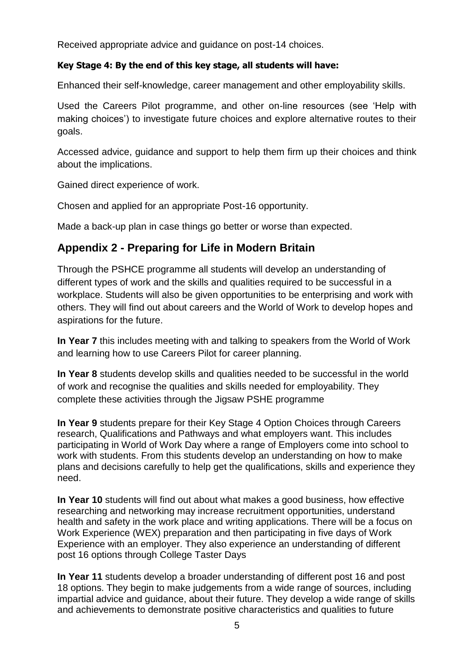Received appropriate advice and guidance on post-14 choices.

## **Key Stage 4: By the end of this key stage, all students will have:**

Enhanced their self-knowledge, career management and other employability skills.

Used the Careers Pilot programme, and other on-line resources (see 'Help with making choices') to investigate future choices and explore alternative routes to their goals.

Accessed advice, guidance and support to help them firm up their choices and think about the implications.

Gained direct experience of work.

Chosen and applied for an appropriate Post-16 opportunity.

Made a back-up plan in case things go better or worse than expected.

## **Appendix 2 - Preparing for Life in Modern Britain**

Through the PSHCE programme all students will develop an understanding of different types of work and the skills and qualities required to be successful in a workplace. Students will also be given opportunities to be enterprising and work with others. They will find out about careers and the World of Work to develop hopes and aspirations for the future.

**In Year 7** this includes meeting with and talking to speakers from the World of Work and learning how to use Careers Pilot for career planning.

**In Year 8** students develop skills and qualities needed to be successful in the world of work and recognise the qualities and skills needed for employability. They complete these activities through the Jigsaw PSHE programme

**In Year 9** students prepare for their Key Stage 4 Option Choices through Careers research, Qualifications and Pathways and what employers want. This includes participating in World of Work Day where a range of Employers come into school to work with students. From this students develop an understanding on how to make plans and decisions carefully to help get the qualifications, skills and experience they need.

**In Year 10** students will find out about what makes a good business, how effective researching and networking may increase recruitment opportunities, understand health and safety in the work place and writing applications. There will be a focus on Work Experience (WEX) preparation and then participating in five days of Work Experience with an employer. They also experience an understanding of different post 16 options through College Taster Days

**In Year 11** students develop a broader understanding of different post 16 and post 18 options. They begin to make judgements from a wide range of sources, including impartial advice and guidance, about their future. They develop a wide range of skills and achievements to demonstrate positive characteristics and qualities to future